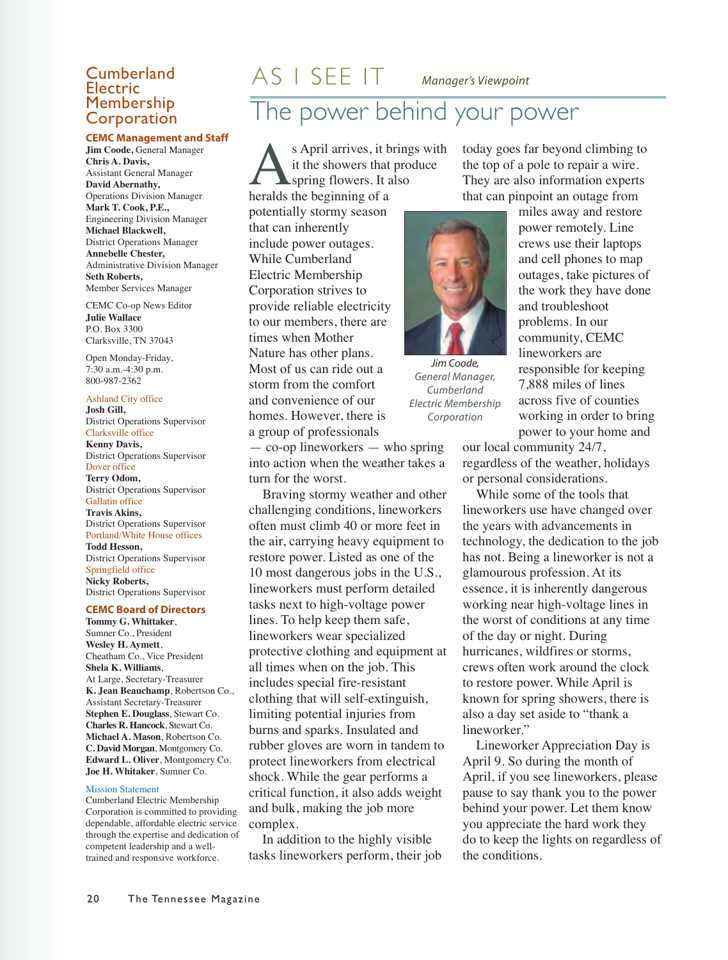#### Electric<br>Membership Corporation

#### **CEMC Management and Staff**

**Jim Coode,** General Manager **Chris A. Davis,** Assistant General Manager **David Abernathy,** Operations Division Manager **Mark T. Cook, P.E.,** Engineering Division Manager **Michael Blackwell,** District Operations Manager **Annebelle Chester,** Administrative Division Manager **Seth Roberts,** Member Services Manager

CEMC Co-op News Editor **Julie Wallace** P.O. Box 3300 Clarksville, TN 37043

Open Monday-Friday, 7:30 a.m.-4:30 p.m. 800-987-2362

Ashland City office **Josh Gill,** District Operations Supervisor Clarksville office **Kenny Davis,** District Operations Supervisor Dover office **Terry Odom,** District Operations Supervisor Gallatin office **Travis Akins,** District Operations Supervisor Portland/White House offices **Todd Hesson,** District Operations Supervisor Springfield office **Nicky Roberts,** District Operations Supervisor

#### **CEMC Board of Directors**

**Tommy G. Whittaker**, Sumner Co., President **Wesley H. Aymett**, Cheatham Co., Vice President **Shela K. Williams**, At Large, Secretary-Treasurer **K. Jean Beauchamp**, Robertson Co., Assistant Secretary-Treasurer **Stephen E. Douglass**, Stewart Co. **Charles R. Hancock**, Stewart Co. **Michael A. Mason**, Robertson Co. **C. David Morgan**, Montgomery Co. **Edward L. Oliver**, Montgomery Co. **Joe H. Whitaker**, Sumner Co.

#### Mission Statement

Cumberland Electric Membership Corporation is committed to providing dependable, affordable electric service through the expertise and dedication of competent leadership and a welltrained and responsive workforce.

### **Cumberland**  $AS \perp SEE \perp T$  *Manager's Viewpoint*

#### The power behind your power

s April arrives, it brings with it the showers that produce **Spring flowers.** It also heralds the beginning of a potentially stormy season that can inherently include power outages. While Cumberland Electric Membership Corporation strives to provide reliable electricity to our members, there are times when Mother Nature has other plans. Most of us can ride out a storm from the comfort and convenience of our homes. However, there is a group of professionals

— co-op lineworkers — who spring into action when the weather takes a turn for the worst.

Braving stormy weather and other challenging conditions, lineworkers often must climb 40 or more feet in the air, carrying heavy equipment to restore power. Listed as one of the 10 most dangerous jobs in the U.S., lineworkers must perform detailed tasks next to high-voltage power lines. To help keep them safe, lineworkers wear specialized protective clothing and equipment at all times when on the job. This includes special fire-resistant clothing that will self-extinguish, limiting potential injuries from burns and sparks. Insulated and rubber gloves are worn in tandem to protect lineworkers from electrical shock. While the gear performs a critical function, it also adds weight and bulk, making the job more complex.

In addition to the highly visible tasks lineworkers perform, their job today goes far beyond climbing to the top of a pole to repair a wire. They are also information experts that can pinpoint an outage from



*Jim Coode, General Manager, Cumberland Electric Membership Corporation*

miles away and restore power remotely. Line crews use their laptops and cell phones to map outages, take pictures of the work they have done and troubleshoot problems. In our community, CEMC lineworkers are responsible for keeping 7,888 miles of lines across five of counties working in order to bring power to your home and

our local community 24/7, regardless of the weather, holidays or personal considerations.

While some of the tools that lineworkers use have changed over the years with advancements in technology, the dedication to the job has not. Being a lineworker is not a glamourous profession. At its essence, it is inherently dangerous working near high-voltage lines in the worst of conditions at any time of the day or night. During hurricanes, wildfires or storms, crews often work around the clock to restore power. While April is known for spring showers, there is also a day set aside to "thank a lineworker."

Lineworker Appreciation Day is April 9. So during the month of April, if you see lineworkers, please pause to say thank you to the power behind your power. Let them know you appreciate the hard work they do to keep the lights on regardless of the conditions.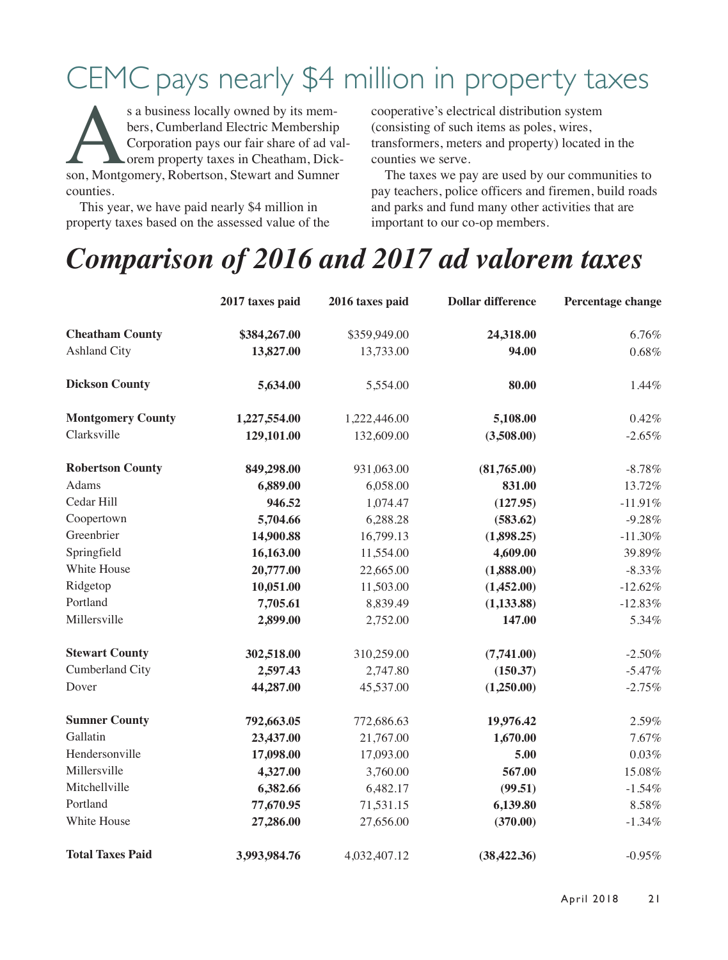### CEMC pays nearly \$4 million in property taxes

s a business locally owned by its members, Cumberland Electric Membership<br>Corporation pays our fair share of ad va<br>orem property taxes in Cheatham, Dick<br>son, Montgomery, Robertson, Stewart and Sumner bers, Cumberland Electric Membership Corporation pays our fair share of ad valorem property taxes in Cheatham, Dickcounties.

This year, we have paid nearly \$4 million in property taxes based on the assessed value of the cooperative's electrical distribution system (consisting of such items as poles, wires, transformers, meters and property) located in the counties we serve.

The taxes we pay are used by our communities to pay teachers, police officers and firemen, build roads and parks and fund many other activities that are important to our co-op members.

#### *Comparison of 2016 and 2017 ad valorem taxes*

|                          | 2017 taxes paid | 2016 taxes paid | <b>Dollar difference</b> | Percentage change |
|--------------------------|-----------------|-----------------|--------------------------|-------------------|
| <b>Cheatham County</b>   | \$384,267.00    | \$359,949.00    | 24,318.00                | 6.76%             |
| <b>Ashland City</b>      | 13,827.00       | 13,733.00       | 94.00                    | $0.68\%$          |
| <b>Dickson County</b>    | 5,634.00        | 5,554.00        | 80.00                    | 1.44%             |
| <b>Montgomery County</b> | 1,227,554.00    | 1,222,446.00    | 5,108.00                 | 0.42%             |
| Clarksville              | 129,101.00      | 132,609.00      | (3,508.00)               | $-2.65%$          |
| <b>Robertson County</b>  | 849,298.00      | 931,063.00      | (81,765.00)              | $-8.78%$          |
| Adams                    | 6,889.00        | 6,058.00        | 831.00                   | 13.72%            |
| Cedar Hill               | 946.52          | 1,074.47        | (127.95)                 | $-11.91%$         |
| Coopertown               | 5,704.66        | 6,288.28        | (583.62)                 | $-9.28%$          |
| Greenbrier               | 14,900.88       | 16,799.13       | (1,898.25)               | $-11.30%$         |
| Springfield              | 16,163.00       | 11,554.00       | 4,609.00                 | 39.89%            |
| White House              | 20,777.00       | 22,665.00       | (1,888.00)               | $-8.33%$          |
| Ridgetop                 | 10,051.00       | 11,503.00       | (1,452.00)               | $-12.62%$         |
| Portland                 | 7,705.61        | 8,839.49        | (1, 133.88)              | $-12.83%$         |
| Millersville             | 2,899.00        | 2,752.00        | 147.00                   | 5.34%             |
| <b>Stewart County</b>    | 302,518.00      | 310,259.00      | (7,741.00)               | $-2.50%$          |
| Cumberland City          | 2,597.43        | 2,747.80        | (150.37)                 | $-5.47%$          |
| Dover                    | 44,287.00       | 45,537.00       | (1,250.00)               | $-2.75%$          |
| <b>Sumner County</b>     | 792,663.05      | 772,686.63      | 19,976.42                | 2.59%             |
| Gallatin                 | 23,437.00       | 21,767.00       | 1,670.00                 | 7.67%             |
| Hendersonville           | 17,098.00       | 17,093.00       | 5.00                     | $0.03\%$          |
| Millersville             | 4,327.00        | 3,760.00        | 567.00                   | 15.08%            |
| Mitchellville            | 6,382.66        | 6,482.17        | (99.51)                  | $-1.54%$          |
| Portland                 | 77,670.95       | 71,531.15       | 6,139.80                 | 8.58%             |
| White House              | 27,286.00       | 27,656.00       | (370.00)                 | $-1.34%$          |
| <b>Total Taxes Paid</b>  | 3,993,984.76    | 4,032,407.12    | (38, 422.36)             | $-0.95%$          |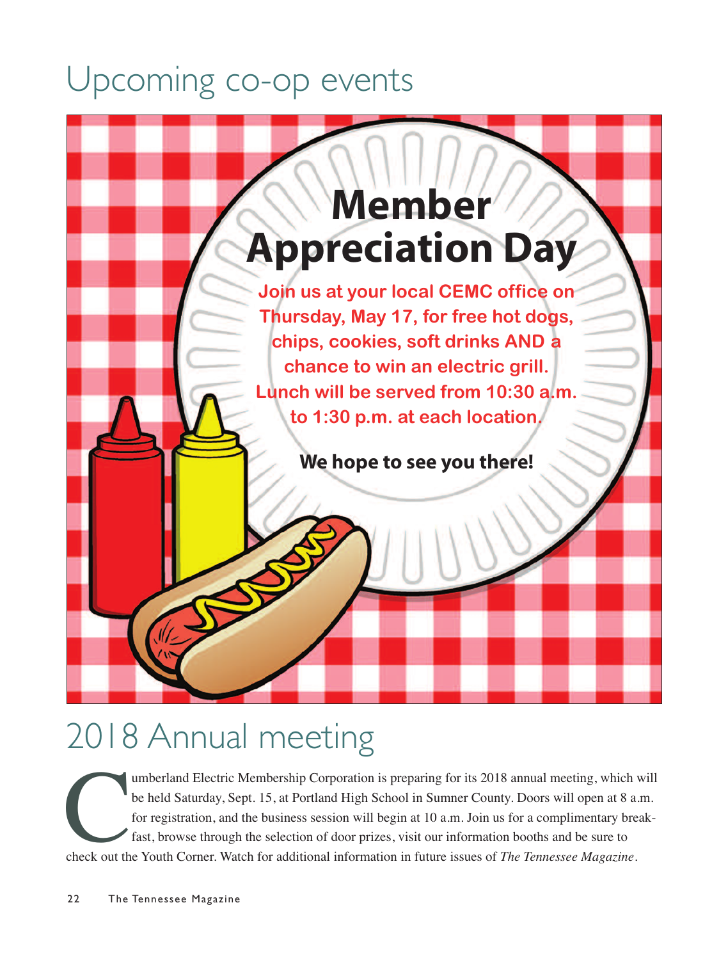### Upcoming co-op events



## 2018 Annual meeting

Umberland Electric Membership Corporation is preparing for its 2018 annual meeting, which will<br>be held Saturday, Sept. 15, at Portland High School in Sumner County. Doors will open at 8 a.m.<br>for registration, and the busin be held Saturday, Sept. 15, at Portland High School in Sumner County. Doors will open at 8 a.m. for registration, and the business session will begin at 10 a.m. Join us for a complimentary breakfast, browse through the selection of door prizes, visit our information booths and be sure to check out the Youth Corner. Watch for additional information in future issues of *The Tennessee Magazine*.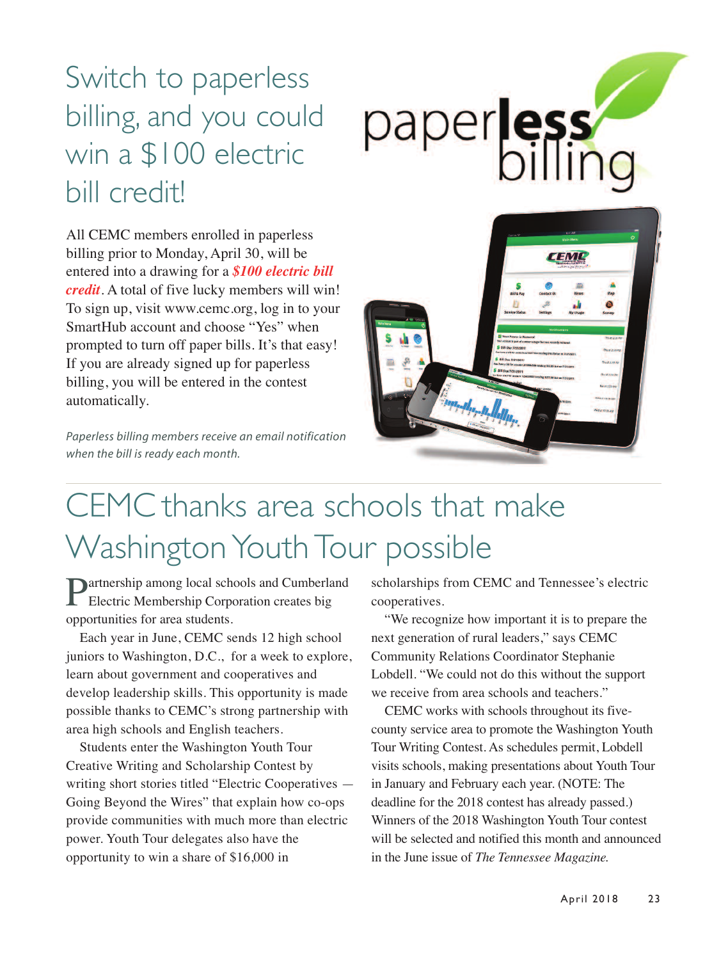### Switch to paperless billing, and you could win a \$100 electric bill credit!



All CEMC members enrolled in paperless billing prior to Monday, April 30, will be entered into a drawing for a *\$100 electric bill credit*. A total of five lucky members will win! To sign up, visit www.cemc.org, log in to your SmartHub account and choose "Yes" when prompted to turn off paper bills. It's that easy! If you are already signed up for paperless billing, you will be entered in the contest automatically.

*Paperless billing members receive an email notification when the bill is ready each month.*



### CEMC thanks area schools that make Washington Youth Tour possible

**Dartnership among local schools and Cumberland** Electric Membership Corporation creates big opportunities for area students.

Each year in June, CEMC sends 12 high school juniors to Washington, D.C., for a week to explore, learn about government and cooperatives and develop leadership skills. This opportunity is made possible thanks to CEMC's strong partnership with area high schools and English teachers.

Students enter the Washington Youth Tour Creative Writing and Scholarship Contest by writing short stories titled "Electric Cooperatives — Going Beyond the Wires" that explain how co-ops provide communities with much more than electric power. Youth Tour delegates also have the opportunity to win a share of \$16,000 in

scholarships from CEMC and Tennessee's electric cooperatives.

"We recognize how important it is to prepare the next generation of rural leaders," says CEMC Community Relations Coordinator Stephanie Lobdell. "We could not do this without the support we receive from area schools and teachers."

CEMC works with schools throughout its fivecounty service area to promote the Washington Youth Tour Writing Contest. As schedules permit, Lobdell visits schools, making presentations about Youth Tour in January and February each year. (NOTE: The deadline for the 2018 contest has already passed.) Winners of the 2018 Washington Youth Tour contest will be selected and notified this month and announced in the June issue of *The Tennessee Magazine.*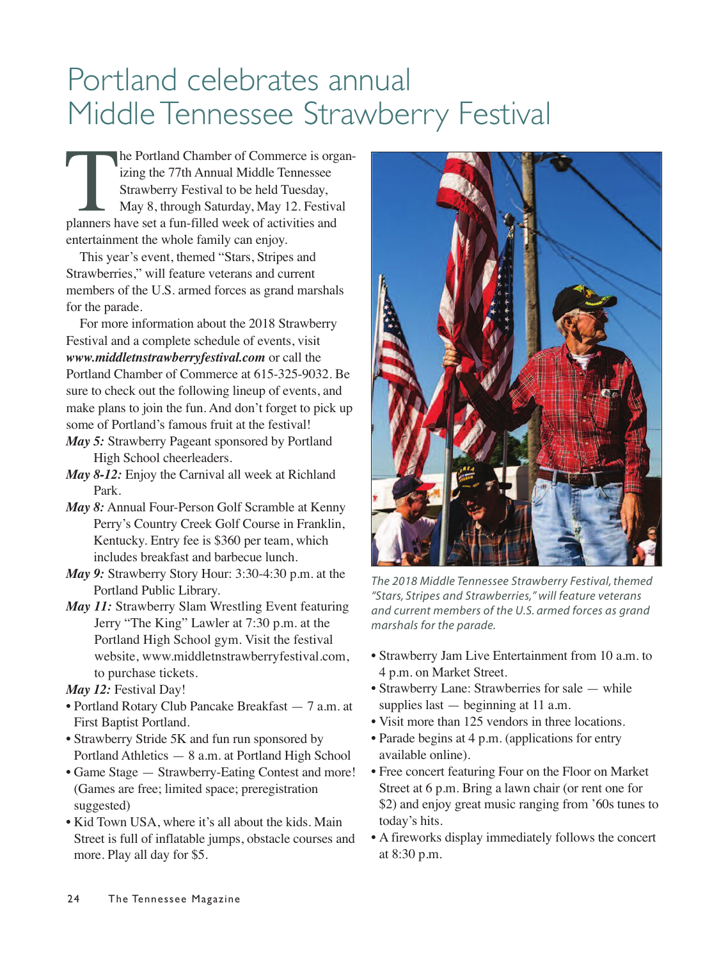### Portland celebrates annual Middle Tennessee Strawberry Festival

The Portland Chamber of Commerce is organizing the 77th Annual Middle Tennessee<br>Strawberry Festival to be held Tuesday,<br>May 8, through Saturday, May 12. Festival<br>planners have set a fun-filled week of activities and izing the 77th Annual Middle Tennessee Strawberry Festival to be held Tuesday, May 8, through Saturday, May 12. Festival entertainment the whole family can enjoy.

This year's event, themed "Stars, Stripes and Strawberries," will feature veterans and current members of the U.S. armed forces as grand marshals for the parade.

For more information about the 2018 Strawberry Festival and a complete schedule of events, visit *www.middletnstrawberryfestival.com* or call the Portland Chamber of Commerce at 615-325-9032. Be sure to check out the following lineup of events, and make plans to join the fun. And don't forget to pick up some of Portland's famous fruit at the festival!

- *May 5:* Strawberry Pageant sponsored by Portland High School cheerleaders.
- *May 8-12:* Enjoy the Carnival all week at Richland Park.
- *May 8:* Annual Four-Person Golf Scramble at Kenny Perry's Country Creek Golf Course in Franklin, Kentucky. Entry fee is \$360 per team, which includes breakfast and barbecue lunch.
- *May 9:* Strawberry Story Hour: 3:30-4:30 p.m. at the Portland Public Library.
- *May 11:* Strawberry Slam Wrestling Event featuring Jerry "The King" Lawler at 7:30 p.m. at the Portland High School gym. Visit the festival website, www.middletnstrawberryfestival.com, to purchase tickets.

*May 12:* Festival Day!

- Portland Rotary Club Pancake Breakfast 7 a.m. at First Baptist Portland.
- Strawberry Stride 5K and fun run sponsored by Portland Athletics — 8 a.m. at Portland High School
- Game Stage Strawberry-Eating Contest and more! (Games are free; limited space; preregistration suggested)
- Kid Town USA, where it's all about the kids. Main Street is full of inflatable jumps, obstacle courses and more. Play all day for \$5.



*The 2018 Middle Tennessee Strawberry Festival, themed "Stars, Stripes and Strawberries," will feature veterans and current members of the U.S. armed forces as grand marshals for the parade.*

- Strawberry Jam Live Entertainment from 10 a.m. to 4 p.m. on Market Street.
- Strawberry Lane: Strawberries for sale while supplies last  $-$  beginning at 11 a.m.
- Visit more than 125 vendors in three locations.
- Parade begins at 4 p.m. (applications for entry available online).
- Free concert featuring Four on the Floor on Market Street at 6 p.m. Bring a lawn chair (or rent one for \$2) and enjoy great music ranging from '60s tunes to today's hits.
- A fireworks display immediately follows the concert at 8:30 p.m.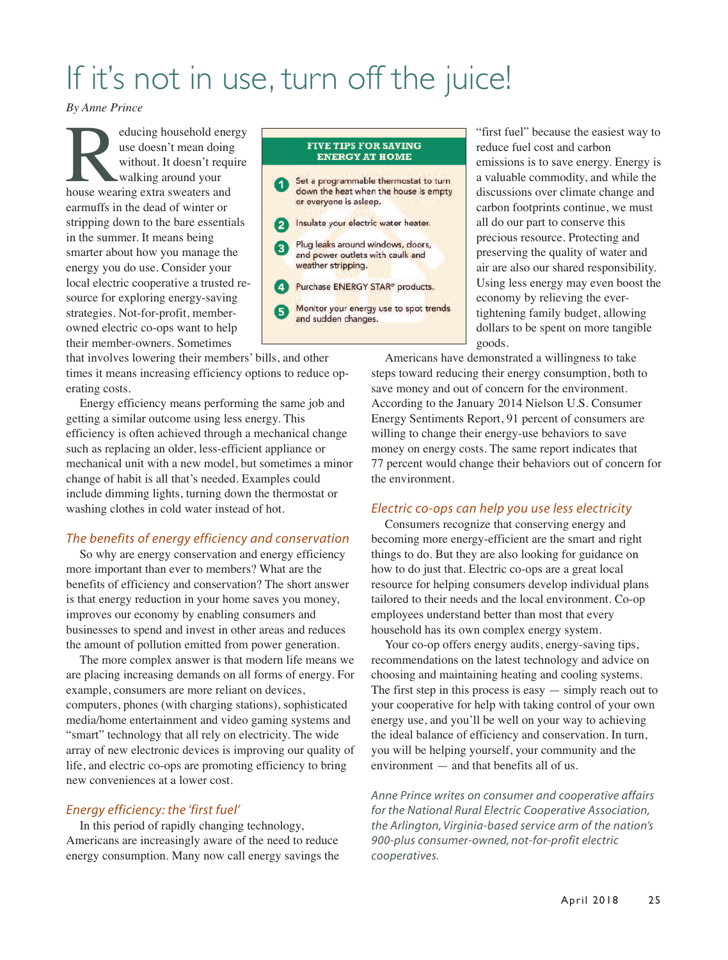### If it's not in use, turn off the juice!

*By Anne Prince*

Election and the ducing household energy use doesn't mean doing<br>without. It doesn't require<br>house wearing extra sweaters and use doesn't mean doing without. It doesn't require walking around your earmuffs in the dead of winter or stripping down to the bare essentials in the summer. It means being smarter about how you manage the energy you do use. Consider your local electric cooperative a trusted resource for exploring energy-saving strategies. Not-for-profit, memberowned electric co-ops want to help their member-owners. Sometimes

#### **FIVE TIPS FOR SAVING ENERGY AT HOME** Set a programmable thermostat to turn down the heat when the house is empty or everyone is asleep. Insulate your electric water heater. Plug leaks around windows, doors, and power outlets with caulk and weather stripping. Purchase ENERGY STAR® products. Monitor your energy use to spot trends and sudden changes.

"first fuel" because the easiest way to reduce fuel cost and carbon emissions is to save energy. Energy is a valuable commodity, and while the discussions over climate change and carbon footprints continue, we must all do our part to conserve this precious resource. Protecting and preserving the quality of water and air are also our shared responsibility. Using less energy may even boost the economy by relieving the evertightening family budget, allowing dollars to be spent on more tangible goods.

that involves lowering their members' bills, and other times it means increasing efficiency options to reduce operating costs.

Energy efficiency means performing the same job and getting a similar outcome using less energy. This efficiency is often achieved through a mechanical change such as replacing an older, less-efficient appliance or mechanical unit with a new model, but sometimes a minor change of habit is all that's needed. Examples could include dimming lights, turning down the thermostat or washing clothes in cold water instead of hot.

#### *The benefits of energy efficiency and conservation*

So why are energy conservation and energy efficiency more important than ever to members? What are the benefits of efficiency and conservation? The short answer is that energy reduction in your home saves you money, improves our economy by enabling consumers and businesses to spend and invest in other areas and reduces the amount of pollution emitted from power generation.

The more complex answer is that modern life means we are placing increasing demands on all forms of energy. For example, consumers are more reliant on devices, computers, phones (with charging stations), sophisticated media/home entertainment and video gaming systems and "smart" technology that all rely on electricity. The wide array of new electronic devices is improving our quality of life, and electric co-ops are promoting efficiency to bring new conveniences at a lower cost.

#### *Energy efficiency: the 'first fuel'*

In this period of rapidly changing technology, Americans are increasingly aware of the need to reduce energy consumption. Many now call energy savings the

Americans have demonstrated a willingness to take steps toward reducing their energy consumption, both to save money and out of concern for the environment. According to the January 2014 Nielson U.S. Consumer Energy Sentiments Report, 91 percent of consumers are willing to change their energy-use behaviors to save money on energy costs. The same report indicates that 77 percent would change their behaviors out of concern for the environment.

#### *Electric co-ops can help you use less electricity*

Consumers recognize that conserving energy and becoming more energy-efficient are the smart and right things to do. But they are also looking for guidance on how to do just that. Electric co-ops are a great local resource for helping consumers develop individual plans tailored to their needs and the local environment. Co-op employees understand better than most that every household has its own complex energy system.

Your co-op offers energy audits, energy-saving tips, recommendations on the latest technology and advice on choosing and maintaining heating and cooling systems. The first step in this process is easy  $-$  simply reach out to your cooperative for help with taking control of your own energy use, and you'll be well on your way to achieving the ideal balance of efficiency and conservation. In turn, you will be helping yourself, your community and the environment — and that benefits all of us.

*Anne Prince writes on consumer and cooperative affairs for the National Rural Electric Cooperative Association, the Arlington, Virginia-based service arm of the nation's 900-plus consumer-owned, not-for-profit electric cooperatives.*